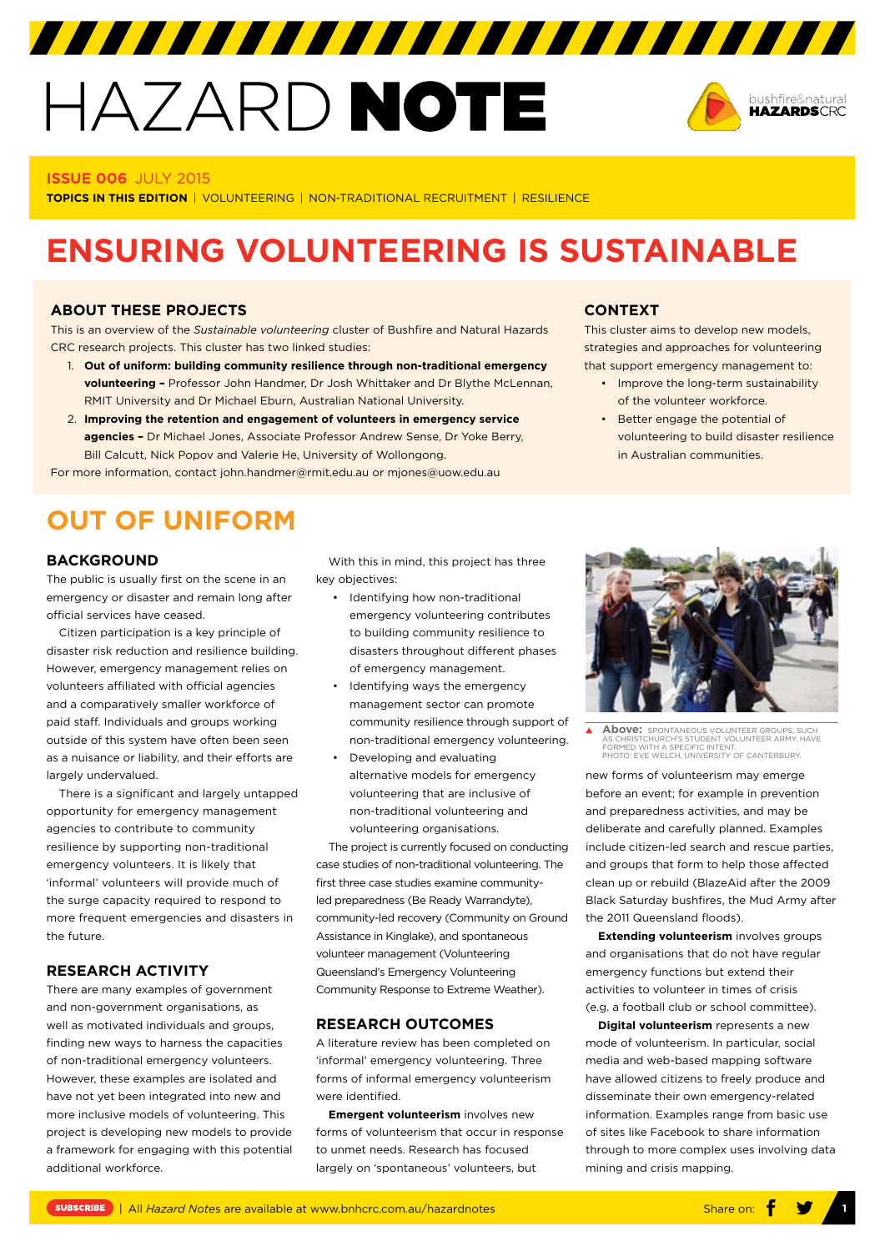# HAZARD NOTE



#### **ISSUE 006** JULY 2015

**TOPICS IN THIS EDITION** | VOLUNTEERING | NON-TRADITIONAL RECRUITMENT | RESILIENCE

## **ENSURING VOLUNTEERING IS SUSTAINABLE**

#### **ABOUT THESE PROJECTS**

This is an overview of the *Sustainable volunteering* cluster of Bushfire and Natural Hazards CRC research projects. This cluster has two linked studies:

- 1. **Out of uniform: building community resilience through non-traditional emergency volunteering –** Professor John Handmer, Dr Josh Whittaker and Dr Blythe McLennan, RMIT University and Dr Michael Eburn, Australian National University.
- 2. **Improving the retention and engagement of volunteers in emergency service agencies –** Dr Michael Jones, Associate Professor Andrew Sense, Dr Yoke Berry, Bill Calcutt, Nick Popov and Valerie He, University of Wollongong.

For more information, contact [john.handmer@rmit.edu.au](mailto:john.handmer@rmit.edu.au) or mjones@uow.edu.au

#### **CONTEXT**

This cluster aims to develop new models, strategies and approaches for volunteering that support emergency management to:

- Improve the long-term sustainability of the volunteer workforce.
- Better engage the potential of volunteering to build disaster resilience in Australian communities.

## **OUT OF UNIFORM**

#### **BACKGROUND**

The public is usually first on the scene in an emergency or disaster and remain long after official services have ceased.

Citizen participation is a key principle of disaster risk reduction and resilience building. However, emergency management relies on volunteers affiliated with official agencies and a comparatively smaller workforce of paid staff. Individuals and groups working outside of this system have often been seen as a nuisance or liability, and their efforts are largely undervalued.

There is a significant and largely untapped opportunity for emergency management agencies to contribute to community resilience by supporting non-traditional emergency volunteers. It is likely that 'informal' volunteers will provide much of the surge capacity required to respond to more frequent emergencies and disasters in the future.

#### **RESEARCH ACTIVITY**

There are many examples of government and non-government organisations, as well as motivated individuals and groups, finding new ways to harness the capacities of non-traditional emergency volunteers. However, these examples are isolated and have not yet been integrated into new and more inclusive models of volunteering. This project is developing new models to provide a framework for engaging with this potential additional workforce.

With this in mind, this project has three key objectives:

- Identifying how non-traditional emergency volunteering contributes to building community resilience to disasters throughout different phases of emergency management.
- Identifying ways the emergency management sector can promote community resilience through support of non-traditional emergency volunteering.
- Developing and evaluating alternative models for emergency volunteering that are inclusive of non-traditional volunteering and volunteering organisations.

The project is currently focused on conducting case studies of non-traditional volunteering. The first three case studies examine communityled preparedness (Be Ready Warrandyte), community-led recovery (Community on Ground Assistance in Kinglake), and spontaneous volunteer management (Volunteering Queensland's Emergency Volunteering Community Response to Extreme Weather).

#### **RESEARCH OUTCOMES**

A literature review has been completed on 'informal' emergency volunteering. Three forms of informal emergency volunteerism were identified.

**Emergent volunteerism** involves new forms of volunteerism that occur in response to unmet needs. Research has focused largely on 'spontaneous' volunteers, but



Above: **SPONTANEOUS VOLUNTEER GROUPS, SUCH AS CHRISTCHURCH'S STUDENT VOLUNTEER ARMY, HAVE** FORMED WITH A SPECIFIC INTENT. PHOTO: EVE WELCH, UNIVERSITY OF CANTERBURY.

new forms of volunteerism may emerge before an event; for example in prevention and preparedness activities, and may be deliberate and carefully planned. Examples include citizen-led search and rescue parties, and groups that form to help those affected clean up or rebuild (BlazeAid after the 2009 Black Saturday bushfires, the Mud Army after the 2011 Queensland floods).

**Extending volunteerism** involves groups and organisations that do not have regular emergency functions but extend their activities to volunteer in times of crisis (e.g. a football club or school committee).

**Digital volunteerism** represents a new mode of volunteerism. In particular, social media and web-based mapping software have allowed citizens to freely produce and disseminate their own emergency-related information. Examples range from basic use of sites like Facebook to share information through to more complex uses involving data mining and crisis mapping.